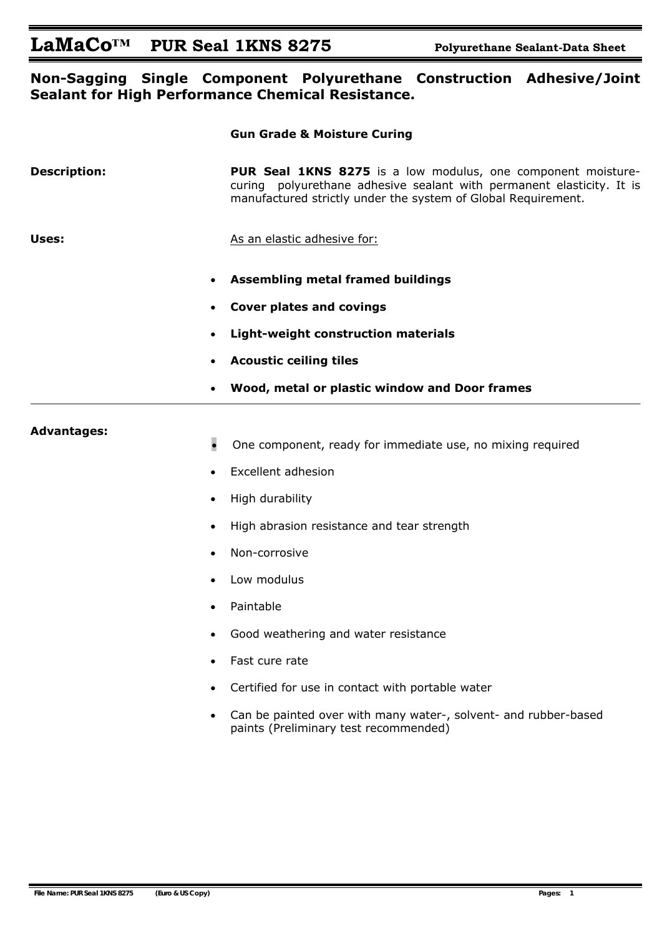# LaMaCo<sup>TM</sup> PUR Seal 1KNS 8275 Polyurethane Sealant-Data Sheet

#### **Non-Sagging Single Component Polyurethane Construction Adhesive/Joint Sealant for High Performance Chemical Resistance.**

 **Gun Grade & Moisture Curing** 

|                     | aan araac & rivistare carnig                                                                                                                                                                           |
|---------------------|--------------------------------------------------------------------------------------------------------------------------------------------------------------------------------------------------------|
| <b>Description:</b> | PUR Seal 1KNS 8275 is a low modulus, one component moisture-<br>curing polyurethane adhesive sealant with permanent elasticity. It is<br>manufactured strictly under the system of Global Requirement. |
| Uses:               | As an elastic adhesive for:                                                                                                                                                                            |
|                     | <b>Assembling metal framed buildings</b><br>$\bullet$                                                                                                                                                  |
|                     | <b>Cover plates and covings</b>                                                                                                                                                                        |
|                     | <b>Light-weight construction materials</b><br>$\bullet$                                                                                                                                                |
|                     | <b>Acoustic ceiling tiles</b>                                                                                                                                                                          |
|                     | Wood, metal or plastic window and Door frames<br>$\bullet$                                                                                                                                             |
| <b>Advantages:</b>  |                                                                                                                                                                                                        |
|                     | $\bullet$<br>One component, ready for immediate use, no mixing required                                                                                                                                |
|                     | <b>Excellent adhesion</b><br>$\bullet$                                                                                                                                                                 |
|                     | High durability<br>$\bullet$                                                                                                                                                                           |
|                     | High abrasion resistance and tear strength<br>$\bullet$                                                                                                                                                |
|                     | Non-corrosive                                                                                                                                                                                          |

- Low modulus
- Paintable
- Good weathering and water resistance
- Fast cure rate
- Certified for use in contact with portable water
- Can be painted over with many water-, solvent- and rubber-based paints (Preliminary test recommended)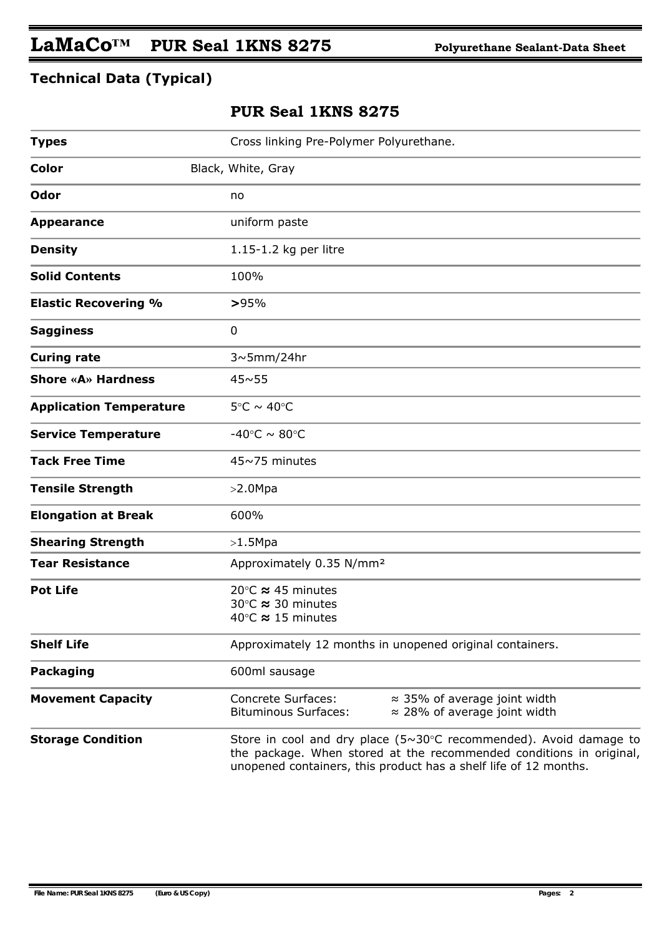## **Technical Data (Typical)**

### **PUR Seal 1KNS 8275**

| <b>Types</b>                   | Cross linking Pre-Polymer Polyurethane.                                                                                                                                                                                  |  |  |  |
|--------------------------------|--------------------------------------------------------------------------------------------------------------------------------------------------------------------------------------------------------------------------|--|--|--|
| <b>Color</b>                   | Black, White, Gray                                                                                                                                                                                                       |  |  |  |
| Odor                           | no                                                                                                                                                                                                                       |  |  |  |
| <b>Appearance</b>              | uniform paste                                                                                                                                                                                                            |  |  |  |
| <b>Density</b>                 | 1.15-1.2 kg per litre                                                                                                                                                                                                    |  |  |  |
| <b>Solid Contents</b>          | 100%                                                                                                                                                                                                                     |  |  |  |
| <b>Elastic Recovering %</b>    | >95%                                                                                                                                                                                                                     |  |  |  |
| <b>Sagginess</b>               | 0                                                                                                                                                                                                                        |  |  |  |
| <b>Curing rate</b>             | $3~5$ mm/24hr                                                                                                                                                                                                            |  |  |  |
| <b>Shore «A» Hardness</b>      | $45 \sim 55$                                                                                                                                                                                                             |  |  |  |
| <b>Application Temperature</b> | $5^{\circ}$ C ~ 40 $^{\circ}$ C                                                                                                                                                                                          |  |  |  |
| <b>Service Temperature</b>     | -40°C $\sim$ 80°C                                                                                                                                                                                                        |  |  |  |
| <b>Tack Free Time</b>          | 45~75 minutes                                                                                                                                                                                                            |  |  |  |
| <b>Tensile Strength</b>        | >2.0Mpa                                                                                                                                                                                                                  |  |  |  |
| <b>Elongation at Break</b>     | 600%                                                                                                                                                                                                                     |  |  |  |
| <b>Shearing Strength</b>       | >1.5Mpa                                                                                                                                                                                                                  |  |  |  |
| <b>Tear Resistance</b>         | Approximately 0.35 N/mm <sup>2</sup>                                                                                                                                                                                     |  |  |  |
| <b>Pot Life</b>                | 20 $\degree$ C $\approx$ 45 minutes<br>30°C ≈ 30 minutes<br>40 $\degree$ C $\approx$ 15 minutes                                                                                                                          |  |  |  |
| <b>Shelf Life</b>              | Approximately 12 months in unopened original containers.                                                                                                                                                                 |  |  |  |
| <b>Packaging</b>               | 600ml sausage                                                                                                                                                                                                            |  |  |  |
| <b>Movement Capacity</b>       | <b>Concrete Surfaces:</b><br>$\approx$ 35% of average joint width<br><b>Bituminous Surfaces:</b><br>$\approx$ 28% of average joint width                                                                                 |  |  |  |
| <b>Storage Condition</b>       | Store in cool and dry place $(5\sim30^{\circ}C$ recommended). Avoid damage to<br>the package. When stored at the recommended conditions in original,<br>unopened containers, this product has a shelf life of 12 months. |  |  |  |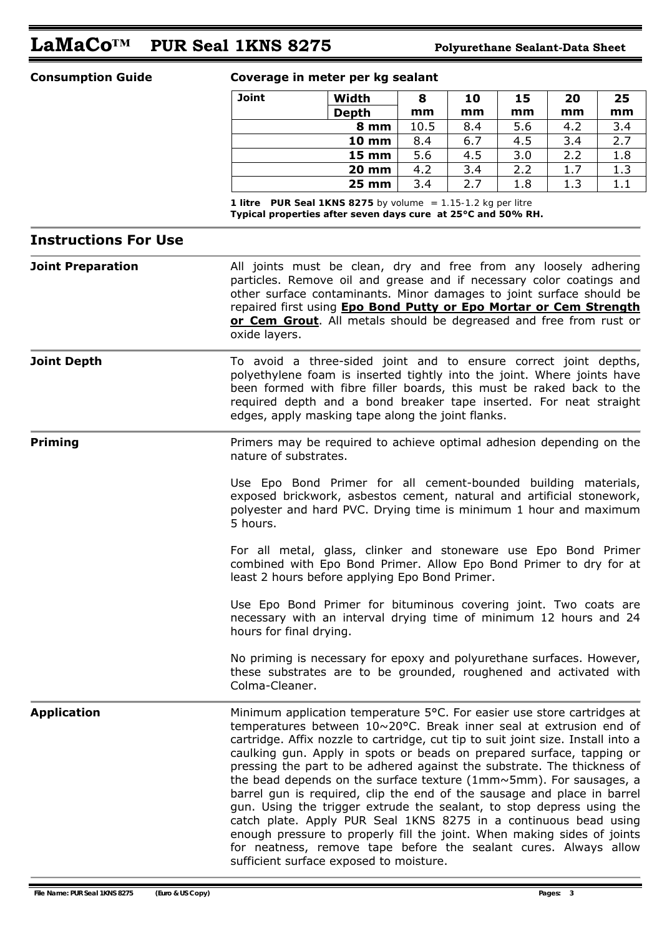# **LaMaCo™ PUR Seal 1KNS 8275 Polyurethane Sealant-Data Sheet**

#### **Consumption Guide Coverage in meter per kg sealant**

| Joint | Width             | 8    | 10  | 15  | 20  | 25  |
|-------|-------------------|------|-----|-----|-----|-----|
|       | <b>Depth</b>      | mm   | mm  | mm  | mm  | mm  |
|       | 8 mm              | 10.5 | 8.4 | 5.6 | 4.2 | 3.4 |
|       | <b>10 mm</b>      | 8.4  | 6.7 | 4.5 | 3.4 | 2.7 |
|       | <b>15 mm</b>      | 5.6  | 4.5 | 3.0 | 2.2 | 1.8 |
|       | <b>20 mm</b>      | 4.2  | 3.4 | 2.2 | 1.7 | 1.3 |
|       | $25 \, \text{mm}$ | 3.4  | 2.7 | 1.8 | 1.3 | 1.1 |

 *1 litre PUR Seal 1KNS 8275 by volume = 1.15-1.2 kg per litre*  **Typical properties after seven days cure at 25°C and 50% RH.** 

#### **Instructions For Use**

**Joint Preparation All joints must be clean, dry and free from any loosely adhering** particles. Remove oil and grease and if necessary color coatings and other surface contaminants. Minor damages to joint surface should be repaired first using **Epo Bond Putty or Epo Mortar or Cem Strength or Cem Grout**. All metals should be degreased and free from rust or oxide layers.

**Joint Depth** To avoid a three-sided joint and to ensure correct joint depths, polyethylene foam is inserted tightly into the joint. Where joints have been formed with fibre filler boards, this must be raked back to the required depth and a bond breaker tape inserted. For neat straight edges, apply masking tape along the joint flanks.

**Priming** Primers may be required to achieve optimal adhesion depending on the nature of substrates.

> Use Epo Bond Primer for all cement-bounded building materials, exposed brickwork, asbestos cement, natural and artificial stonework, polyester and hard PVC. Drying time is minimum 1 hour and maximum 5 hours.

> For all metal, glass, clinker and stoneware use Epo Bond Primer combined with Epo Bond Primer. Allow Epo Bond Primer to dry for at least 2 hours before applying Epo Bond Primer.

> Use Epo Bond Primer for bituminous covering joint. Two coats are necessary with an interval drying time of minimum 12 hours and 24 hours for final drying.

> No priming is necessary for epoxy and polyurethane surfaces. However, these substrates are to be grounded, roughened and activated with Colma-Cleaner.

**Application** Minimum application temperature 5°C. For easier use store cartridges at temperatures between 10~20°C. Break inner seal at extrusion end of cartridge. Affix nozzle to cartridge, cut tip to suit joint size. Install into a caulking gun. Apply in spots or beads on prepared surface, tapping or pressing the part to be adhered against the substrate. The thickness of the bead depends on the surface texture (1mm~5mm). For sausages, a barrel gun is required, clip the end of the sausage and place in barrel gun. Using the trigger extrude the sealant, to stop depress using the catch plate. Apply PUR Seal 1KNS 8275 in a continuous bead using enough pressure to properly fill the joint. When making sides of joints for neatness, remove tape before the sealant cures. Always allow sufficient surface exposed to moisture.